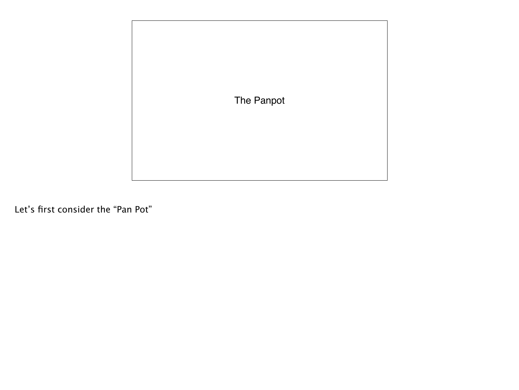

Let's first consider the "Pan Pot"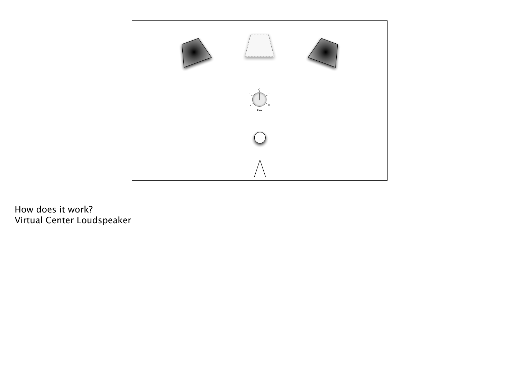

How does it work? Virtual Center Loudspeaker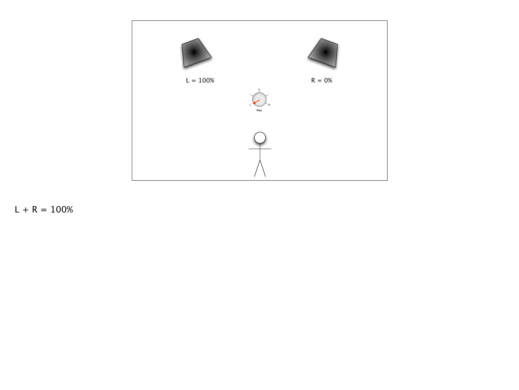

 $L + R = 100\%$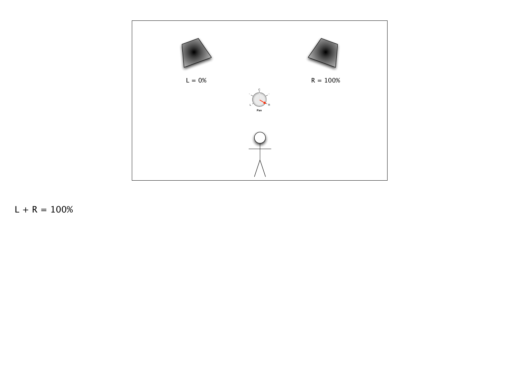

 $L + R = 100\%$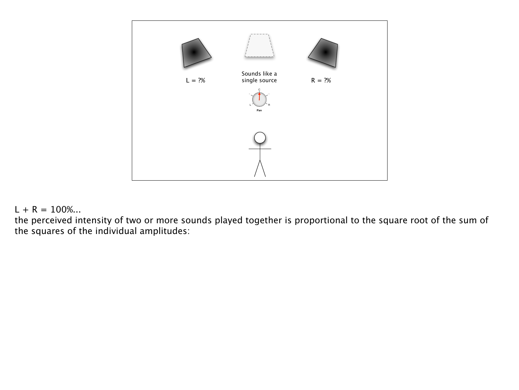

## $L + R = 100\%...$

the perceived intensity of two or more sounds played together is proportional to the square root of the sum of the squares of the individual amplitudes: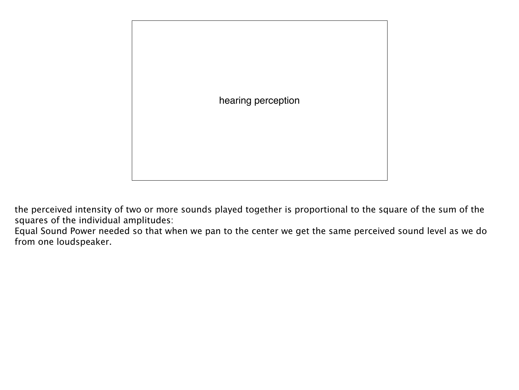

the perceived intensity of two or more sounds played together is proportional to the square of the sum of the squares of the individual amplitudes:

Equal Sound Power needed so that when we pan to the center we get the same perceived sound level as we do from one loudspeaker.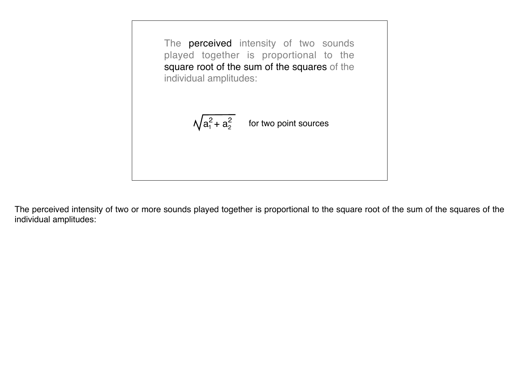

The perceived intensity of two or more sounds played together is proportional to the square root of the sum of the squares of the individual amplitudes: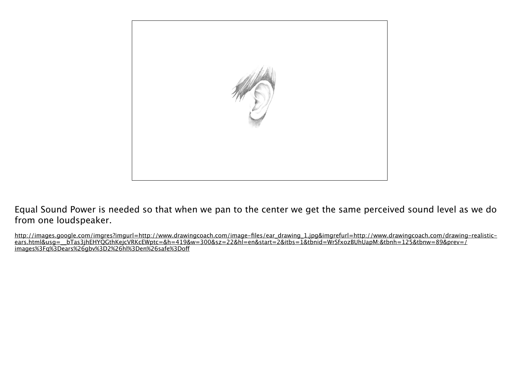

Equal Sound Power is needed so that when we pan to the center we get the same perceived sound level as we do from one loudspeaker.

http://images.google.com/imgres?imgurl=http://www.drawingcoach.com/image-files/ear\_drawing\_1.jpg&imgrefurl=http://www.drawingcoach.com/drawing-realisticears.html&usg=\_\_bTas3jhEHYQGthKejcVRKcEWptc=&h=419&w=300&sz=22&hl=en&start=2&itbs=1&tbnid=WrSfxozBUhUapM:&tbnh=125&tbnw=89&prev=/ images%3Fq%3Dears%26gbv%3D2%26hl%3Den%26safe%3Dof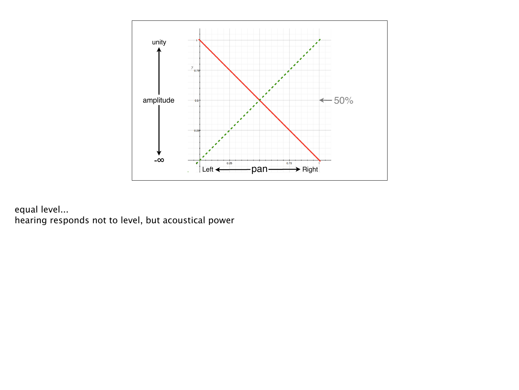

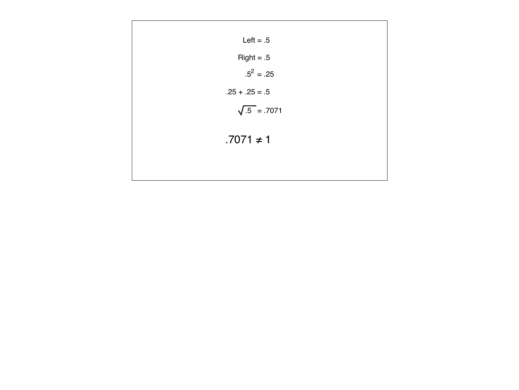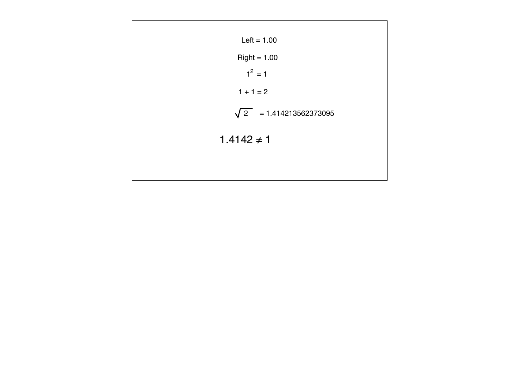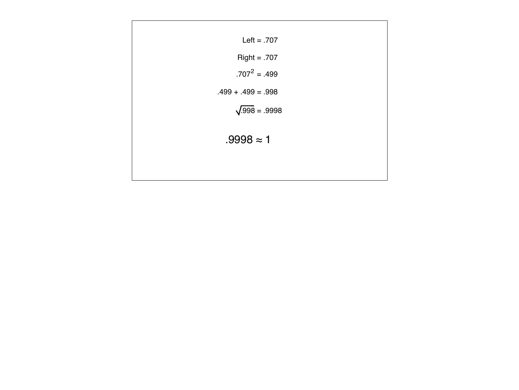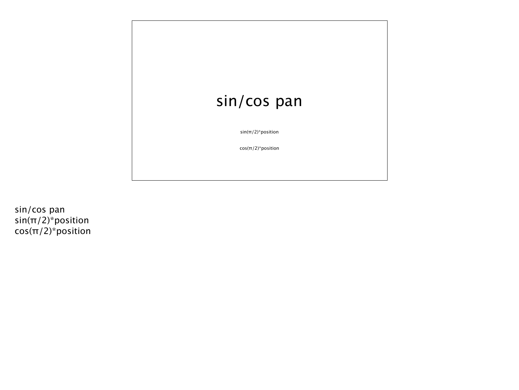

sin/cos pan sin(π/2)\*position cos(π/2)\*position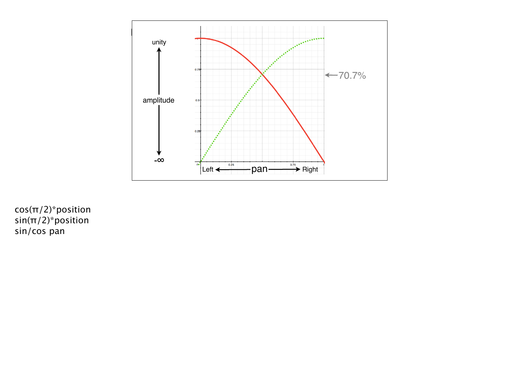

cos(π/2)\*position sin(π/2)\*position sin/cos pan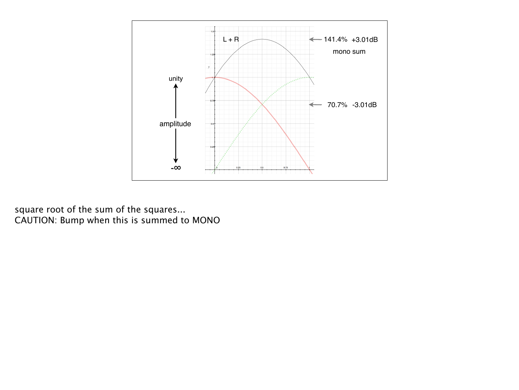

square root of the sum of the squares...<br>CAUTION: Bump when this is summed to MONO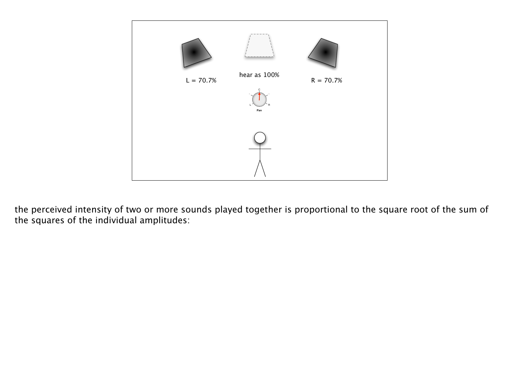

the perceived intensity of two or more sounds played together is proportional to the square root of the sum of the squares of the individual amplitudes: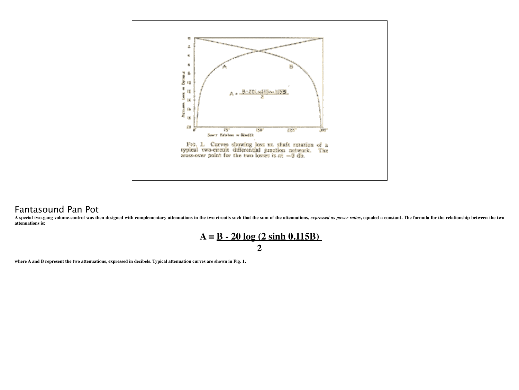

## Fantasound Pan Pot

A special two-gang volume-control was then designed with complementary attenuations in the two circuits such that the sum of the attenuations, expressed as power ratios, equaled a constant. The formula for the relationship **attenuations is:**



**where A and B represent the two attenuations, expressed in decibels. Typical attenuation curves are shown in Fig. 1.**